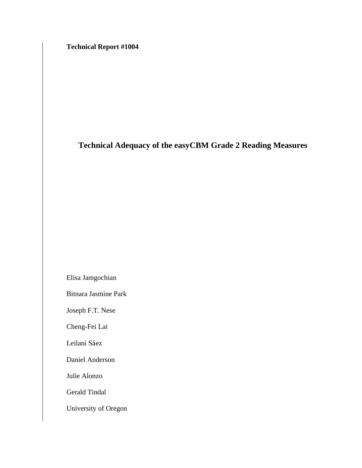**Technical Report #1004** 

## **Technical Adequacy of the easyCBM Grade 2 Reading Measures**

Elisa Jamgochian

Bitnara Jasmine Park

Joseph F.T. Nese

Cheng-Fei Lai

Leilani Sáez

Daniel Anderson

Julie Alonzo

Gerald Tindal

University of Oregon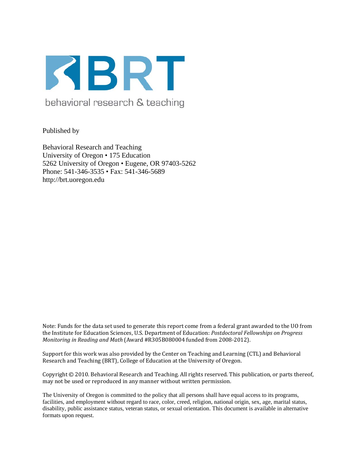

Published by

Behavioral Research and Teaching University of Oregon • 175 Education 5262 University of Oregon • Eugene, OR 97403-5262 Phone: 541-346-3535 • Fax: 541-346-5689 http://brt.uoregon.edu

Note: Funds for the data set used to generate this report come from a federal grant awarded to the UO from the Institute for Education Sciences, U.S. Department of Education: *Postdoctoral Fellowships on Progress Monitoring in Reading and Math* (Award #R305B080004 funded from 2008‐2012).

Support for this work was also provided by the Center on Teaching and Learning (CTL) and Behavioral Research and Teaching (BRT), College of Education at the University of Oregon.

Copyright © 2010. Behavioral Research and Teaching. All rights reserved. This publication, or parts thereof, may not be used or reproduced in any manner without written permission.

The University of Oregon is committed to the policy that all persons shall have equal access to its programs, facilities, and employment without regard to race, color, creed, religion, national origin, sex, age, marital status, disability, public assistance status, veteran status, or sexual orientation. This document is available in alternative formats upon request.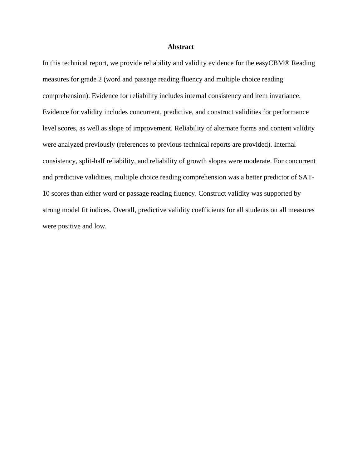## **Abstract**

In this technical report, we provide reliability and validity evidence for the easyCBM® Reading measures for grade 2 (word and passage reading fluency and multiple choice reading comprehension). Evidence for reliability includes internal consistency and item invariance. Evidence for validity includes concurrent, predictive, and construct validities for performance level scores, as well as slope of improvement. Reliability of alternate forms and content validity were analyzed previously (references to previous technical reports are provided). Internal consistency, split-half reliability, and reliability of growth slopes were moderate. For concurrent and predictive validities, multiple choice reading comprehension was a better predictor of SAT-10 scores than either word or passage reading fluency. Construct validity was supported by strong model fit indices. Overall, predictive validity coefficients for all students on all measures were positive and low.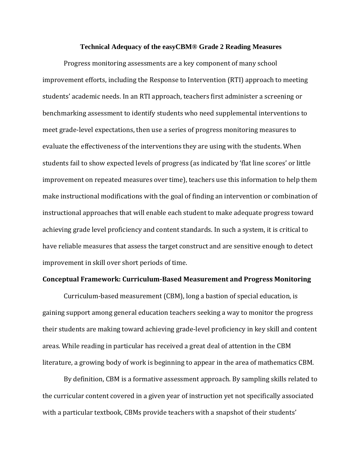## **Technical Adequacy of the easyCBM® Grade 2 Reading Measures**

Progress monitoring assessments are a key component of many school improvement efforts, including the Response to Intervention (RTI) approach to meeting students' academic needs. In an RTI approach, teachers first administer a screening or benchmarking assessment to identify students who need supplemental interventions to meet grade‐level expectations, then use a series of progress monitoring measures to evaluate the effectiveness of the interventions they are using with the students. When students fail to show expected levels of progress (as indicated by 'flat line scores' or little improvement on repeated measures over time), teachers use this information to help them make instructional modifications with the goal of finding an intervention or combination of instructional approaches that will enable each student to make adequate progress toward achieving grade level proficiency and content standards. In such a system, it is critical to have reliable measures that assess the target construct and are sensitive enough to detect improvement in skill over short periods of time.

## **Conceptual Framework: CurriculumBased Measurement and Progress Monitoring**

Curriculum‐based measurement (CBM), long a bastion of special education, is gaining support among general education teachers seeking a way to monitor the progress their students are making toward achieving grade‐level proficiency in key skill and content areas. While reading in particular has received a great deal of attention in the CBM literature, a growing body of work is beginning to appear in the area of mathematics CBM.

By definition, CBM is a formative assessment approach. By sampling skills related to the curricular content covered in a given year of instruction yet not specifically associated with a particular textbook, CBMs provide teachers with a snapshot of their students'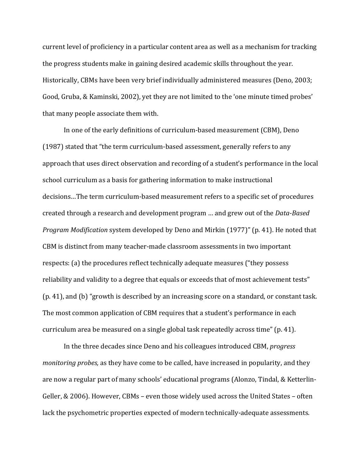current level of proficiency in a particular content area as well as a mechanism for tracking the progress students make in gaining desired academic skills throughout the year. Historically, CBMs have been very brief individually administered measures (Deno, 2003; Good, Gruba, & Kaminski, 2002), yet they are not limited to the 'one minute timed probes' that many people associate them with.

In one of the early definitions of curriculum-based measurement (CBM), Deno (1987) stated that "the term curriculum‐based assessment, generally refers to any approach that uses direct observation and recording of a student's performance in the local school curriculum as a basis for gathering information to make instructional decisions…The term curriculum‐based measurement refers to a specific set of procedures created through a research and development program … and grew out of the *DataBased Program Modification* system developed by Deno and Mirkin (1977)" (p. 41). He noted that CBM is distinct from many teacher‐made classroom assessments in two important respects: (a) the procedures reflect technically adequate measures ("they possess reliability and validity to a degree that equals or exceeds that of most achievement tests" (p. 41), and (b) "growth is described by an increasing score on a standard, or constant task. The most common application of CBM requires that a student's performance in each curriculum area be measured on a single global task repeatedly across time" (p. 41).

In the three decades since Deno and his colleagues introduced CBM, *progress monitoring probes,* as they have come to be called, have increased in popularity, and they are now a regular part of many schools' educational programs (Alonzo, Tindal, & Ketterlin‐ Geller, & 2006). However, CBMs – even those widely used across the United States – often lack the psychometric properties expected of modern technically-adequate assessments.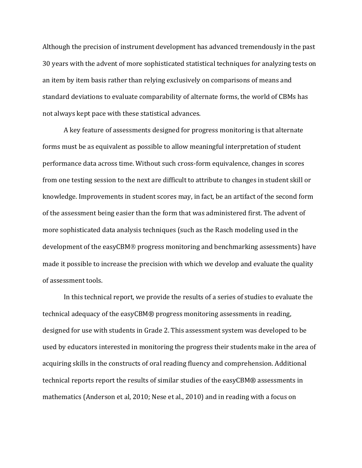Although the precision of instrument development has advanced tremendously in the past 30 years with the advent of more sophisticated statistical techniques for analyzing tests on an item by item basis rather than relying exclusively on comparisons of means and standard deviations to evaluate comparability of alternate forms, the world of CBMs has not always kept pace with these statistical advances.

A key feature of assessments designed for progress monitoring is that alternate forms must be as equivalent as possible to allow meaningful interpretation of student performance data across time. Without such cross‐form equivalence, changes in scores from one testing session to the next are difficult to attribute to changes in student skill or knowledge. Improvements in student scores may, in fact, be an artifact of the second form of the assessment being easier than the form that was administered first. The advent of more sophisticated data analysis techniques (such as the Rasch modeling used in the development of the easyCBM® progress monitoring and benchmarking assessments) have made it possible to increase the precision with which we develop and evaluate the quality of assessment tools.

In this technical report, we provide the results of a series of studies to evaluate the technical adequacy of the easyCBM® progress monitoring assessments in reading, designed for use with students in Grade 2. This assessment system was developed to be used by educators interested in monitoring the progress their students make in the area of acquiring skills in the constructs of oral reading fluency and comprehension. Additional technical reports report the results of similar studies of the easyCBM® assessments in mathematics (Anderson et al, 2010; Nese et al., 2010) and in reading with a focus on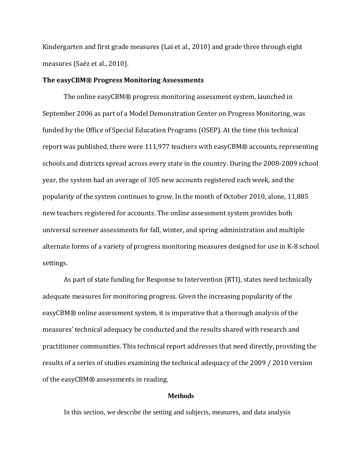Kindergarten and first grade measures (Lai et al., 2010) and grade three through eight measures (Saéz et al., 2010).

## **The easyCBM® Progress Monitoring Assessments**

The online easyCBM® progress monitoring assessment system, launched in September 2006 as part of a Model Demonstration Center on Progress Monitoring, was funded by the Office of Special Education Programs (OSEP). At the time this technical report was published, there were 111,977 teachers with easyCBM® accounts, representing schools and districts spread across every state in the country. During the 2008‐2009 school year, the system had an average of 305 new accounts registered each week, and the popularity of the system continues to grow. In the month of October 2010, alone, 11,885 new teachers registered for accounts. The online assessment system provides both universal screener assessments for fall, winter, and spring administration and multiple alternate forms of a variety of progress monitoring measures designed for use in K‐8 school settings.

As part of state funding for Response to Intervention (RTI), states need technically adequate measures for monitoring progress. Given the increasing popularity of the easyCBM® online assessment system, it is imperative that a thorough analysis of the measures' technical adequacy be conducted and the results shared with research and practitioner communities. This technical report addresses that need directly, providing the results of a series of studies examining the technical adequacy of the 2009 / 2010 version of the easyCBM® assessments in reading.

## **Methods**

In this section, we describe the setting and subjects, measures, and data analysis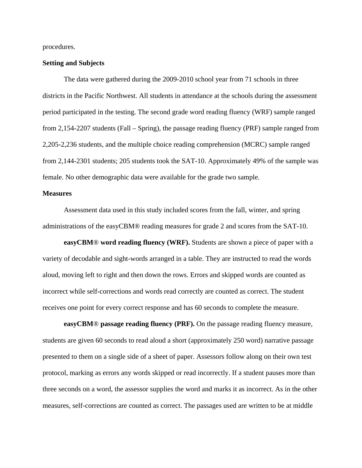procedures.

## **Setting and Subjects**

The data were gathered during the 2009-2010 school year from 71 schools in three districts in the Pacific Northwest. All students in attendance at the schools during the assessment period participated in the testing. The second grade word reading fluency (WRF) sample ranged from 2,154-2207 students (Fall – Spring), the passage reading fluency (PRF) sample ranged from 2,205-2,236 students, and the multiple choice reading comprehension (MCRC) sample ranged from 2,144-2301 students; 205 students took the SAT-10. Approximately 49% of the sample was female. No other demographic data were available for the grade two sample.

## **Measures**

Assessment data used in this study included scores from the fall, winter, and spring administrations of the easyCBM® reading measures for grade 2 and scores from the SAT-10.

**easyCBM**® **word reading fluency (WRF).** Students are shown a piece of paper with a variety of decodable and sight-words arranged in a table. They are instructed to read the words aloud, moving left to right and then down the rows. Errors and skipped words are counted as incorrect while self-corrections and words read correctly are counted as correct. The student receives one point for every correct response and has 60 seconds to complete the measure.

**easyCBM**® **passage reading fluency (PRF).** On the passage reading fluency measure, students are given 60 seconds to read aloud a short (approximately 250 word) narrative passage presented to them on a single side of a sheet of paper. Assessors follow along on their own test protocol, marking as errors any words skipped or read incorrectly. If a student pauses more than three seconds on a word, the assessor supplies the word and marks it as incorrect. As in the other measures, self-corrections are counted as correct. The passages used are written to be at middle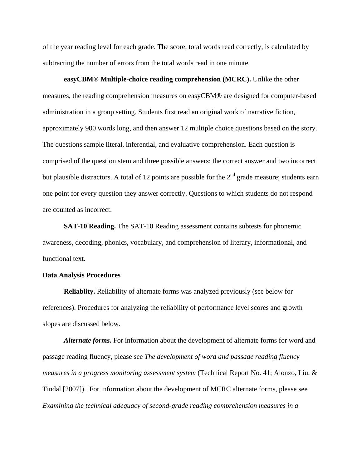of the year reading level for each grade. The score, total words read correctly, is calculated by subtracting the number of errors from the total words read in one minute.

 **easyCBM**® **Multiple-choice reading comprehension (MCRC).** Unlike the other measures, the reading comprehension measures on easyCBM® are designed for computer-based administration in a group setting. Students first read an original work of narrative fiction, approximately 900 words long, and then answer 12 multiple choice questions based on the story. The questions sample literal, inferential, and evaluative comprehension. Each question is comprised of the question stem and three possible answers: the correct answer and two incorrect but plausible distractors. A total of 12 points are possible for the  $2<sup>nd</sup>$  grade measure; students earn one point for every question they answer correctly. Questions to which students do not respond are counted as incorrect.

**SAT-10 Reading.** The SAT-10 Reading assessment contains subtests for phonemic awareness, decoding, phonics, vocabulary, and comprehension of literary, informational, and functional text.

## **Data Analysis Procedures**

**Reliablity.** Reliability of alternate forms was analyzed previously (see below for references). Procedures for analyzing the reliability of performance level scores and growth slopes are discussed below.

*Alternate forms.* For information about the development of alternate forms for word and passage reading fluency, please see *The development of word and passage reading fluency measures in a progress monitoring assessment system* (Technical Report No. 41; Alonzo, Liu, & Tindal [2007]). For information about the development of MCRC alternate forms, please see *Examining the technical adequacy of second-grade reading comprehension measures in a*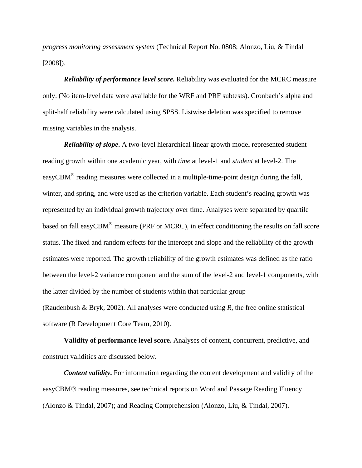*progress monitoring assessment system* (Technical Report No. 0808; Alonzo, Liu, & Tindal [2008]).

*Reliability of performance level score***.** Reliability was evaluated for the MCRC measure only. (No item-level data were available for the WRF and PRF subtests). Cronbach's alpha and split-half reliability were calculated using SPSS. Listwise deletion was specified to remove missing variables in the analysis.

*Reliability of slope***.** A two-level hierarchical linear growth model represented student reading growth within one academic year, with *time* at level-1 and *student* at level-2. The easyCBM® reading measures were collected in a multiple-time-point design during the fall, winter, and spring, and were used as the criterion variable. Each student's reading growth was represented by an individual growth trajectory over time. Analyses were separated by quartile based on fall easyCBM® measure (PRF or MCRC), in effect conditioning the results on fall score status. The fixed and random effects for the intercept and slope and the reliability of the growth estimates were reported. The growth reliability of the growth estimates was defined as the ratio between the level-2 variance component and the sum of the level-2 and level-1 components, with the latter divided by the number of students within that particular group (Raudenbush & Bryk*,* 2002). All analyses were conducted using *R*, the free online statistical software (R Development Core Team, 2010).

**Validity of performance level score.** Analyses of content, concurrent, predictive, and construct validities are discussed below.

*Content validity***.** For information regarding the content development and validity of the easyCBM® reading measures, see technical reports on Word and Passage Reading Fluency (Alonzo & Tindal, 2007); and Reading Comprehension (Alonzo, Liu, & Tindal, 2007).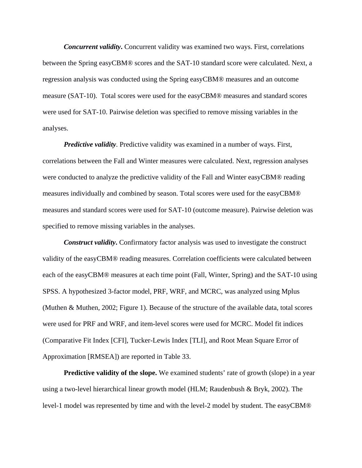*Concurrent validity***.** Concurrent validity was examined two ways. First, correlations between the Spring easyCBM® scores and the SAT-10 standard score were calculated. Next, a regression analysis was conducted using the Spring easyCBM® measures and an outcome measure (SAT-10). Total scores were used for the easyCBM® measures and standard scores were used for SAT-10. Pairwise deletion was specified to remove missing variables in the analyses.

*Predictive validity*. Predictive validity was examined in a number of ways. First, correlations between the Fall and Winter measures were calculated. Next, regression analyses were conducted to analyze the predictive validity of the Fall and Winter easyCBM® reading measures individually and combined by season. Total scores were used for the easyCBM® measures and standard scores were used for SAT-10 (outcome measure). Pairwise deletion was specified to remove missing variables in the analyses.

*Construct validity***.** Confirmatory factor analysis was used to investigate the construct validity of the easyCBM® reading measures. Correlation coefficients were calculated between each of the easyCBM® measures at each time point (Fall, Winter, Spring) and the SAT-10 using SPSS. A hypothesized 3-factor model, PRF, WRF, and MCRC, was analyzed using Mplus (Muthen & Muthen, 2002; Figure 1). Because of the structure of the available data, total scores were used for PRF and WRF, and item-level scores were used for MCRC. Model fit indices (Comparative Fit Index [CFI], Tucker-Lewis Index [TLI], and Root Mean Square Error of Approximation [RMSEA]) are reported in Table 33.

**Predictive validity of the slope.** We examined students' rate of growth (slope) in a year using a two-level hierarchical linear growth model (HLM; Raudenbush & Bryk, 2002). The level-1 model was represented by time and with the level-2 model by student. The easyCBM®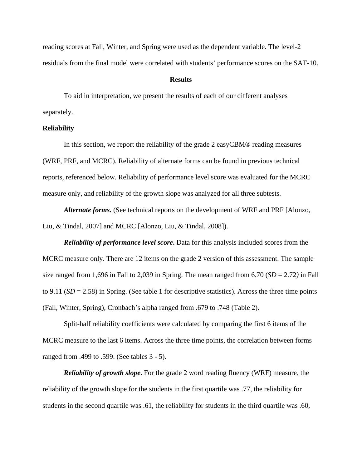reading scores at Fall, Winter, and Spring were used as the dependent variable. The level-2 residuals from the final model were correlated with students' performance scores on the SAT-10.

## **Results**

 To aid in interpretation, we present the results of each of our different analyses separately.

## **Reliability**

 In this section, we report the reliability of the grade 2 easyCBM® reading measures (WRF, PRF, and MCRC). Reliability of alternate forms can be found in previous technical reports, referenced below. Reliability of performance level score was evaluated for the MCRC measure only, and reliability of the growth slope was analyzed for all three subtests.

*Alternate forms.* (See technical reports on the development of WRF and PRF [Alonzo, Liu, & Tindal, 2007] and MCRC [Alonzo, Liu, & Tindal, 2008]).

*Reliability of performance level score***.** Data for this analysis included scores from the MCRC measure only. There are 12 items on the grade 2 version of this assessment. The sample size ranged from 1,696 in Fall to 2,039 in Spring. The mean ranged from  $6.70$  (*SD* = 2.72) in Fall to 9.11 ( $SD = 2.58$ ) in Spring. (See table 1 for descriptive statistics). Across the three time points (Fall, Winter, Spring), Cronbach's alpha ranged from .679 to .748 (Table 2).

Split-half reliability coefficients were calculated by comparing the first 6 items of the MCRC measure to the last 6 items. Across the three time points, the correlation between forms ranged from .499 to .599. (See tables 3 - 5).

*Reliability of growth slope***.** For the grade 2 word reading fluency (WRF) measure, the reliability of the growth slope for the students in the first quartile was .77, the reliability for students in the second quartile was .61, the reliability for students in the third quartile was .60,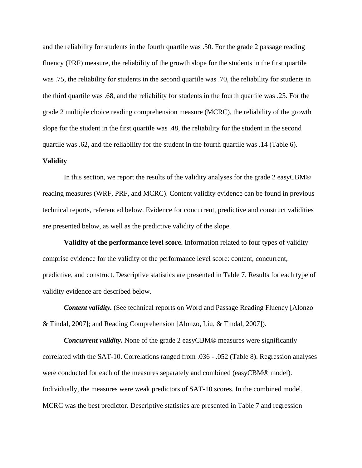and the reliability for students in the fourth quartile was .50. For the grade 2 passage reading fluency (PRF) measure, the reliability of the growth slope for the students in the first quartile was .75, the reliability for students in the second quartile was .70, the reliability for students in the third quartile was .68, and the reliability for students in the fourth quartile was .25. For the grade 2 multiple choice reading comprehension measure (MCRC), the reliability of the growth slope for the student in the first quartile was .48, the reliability for the student in the second quartile was .62, and the reliability for the student in the fourth quartile was .14 (Table 6).

## **Validity**

In this section, we report the results of the validity analyses for the grade 2 easyCBM® reading measures (WRF, PRF, and MCRC). Content validity evidence can be found in previous technical reports, referenced below. Evidence for concurrent, predictive and construct validities are presented below, as well as the predictive validity of the slope.

**Validity of the performance level score.** Information related to four types of validity comprise evidence for the validity of the performance level score: content, concurrent, predictive, and construct. Descriptive statistics are presented in Table 7. Results for each type of validity evidence are described below.

*Content validity.* (See technical reports on Word and Passage Reading Fluency [Alonzo & Tindal, 2007]; and Reading Comprehension [Alonzo, Liu, & Tindal, 2007]).

*Concurrent validity.* None of the grade 2 easyCBM® measures were significantly correlated with the SAT-10. Correlations ranged from .036 - .052 (Table 8). Regression analyses were conducted for each of the measures separately and combined (easyCBM® model). Individually, the measures were weak predictors of SAT-10 scores. In the combined model, MCRC was the best predictor. Descriptive statistics are presented in Table 7 and regression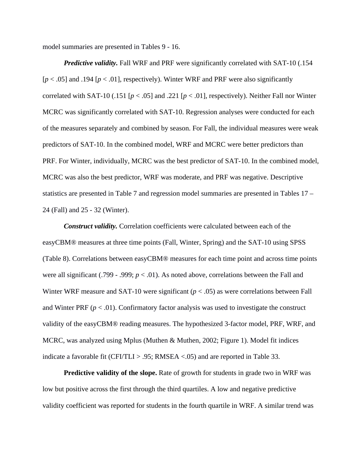model summaries are presented in Tables 9 - 16.

*Predictive validity.* Fall WRF and PRF were significantly correlated with SAT-10 (.154)  $[p < .05]$  and  $.194$   $[p < .01]$ , respectively). Winter WRF and PRF were also significantly correlated with SAT-10 (.151 [*p* < .05] and .221 [*p* < .01], respectively). Neither Fall nor Winter MCRC was significantly correlated with SAT-10. Regression analyses were conducted for each of the measures separately and combined by season. For Fall, the individual measures were weak predictors of SAT-10. In the combined model, WRF and MCRC were better predictors than PRF. For Winter, individually, MCRC was the best predictor of SAT-10. In the combined model, MCRC was also the best predictor, WRF was moderate, and PRF was negative. Descriptive statistics are presented in Table 7 and regression model summaries are presented in Tables 17 – 24 (Fall) and 25 - 32 (Winter).

*Construct validity.* Correlation coefficients were calculated between each of the easyCBM® measures at three time points (Fall, Winter, Spring) and the SAT-10 using SPSS (Table 8). Correlations between easyCBM® measures for each time point and across time points were all significant (.799 - .999;  $p < .01$ ). As noted above, correlations between the Fall and Winter WRF measure and SAT-10 were significant  $(p < .05)$  as were correlations between Fall and Winter PRF ( $p < .01$ ). Confirmatory factor analysis was used to investigate the construct validity of the easyCBM® reading measures. The hypothesized 3-factor model, PRF, WRF, and MCRC, was analyzed using Mplus (Muthen & Muthen, 2002; Figure 1). Model fit indices indicate a favorable fit (CFI/TLI  $> .95$ ; RMSEA <.05) and are reported in Table 33.

**Predictive validity of the slope.** Rate of growth for students in grade two in WRF was low but positive across the first through the third quartiles. A low and negative predictive validity coefficient was reported for students in the fourth quartile in WRF. A similar trend was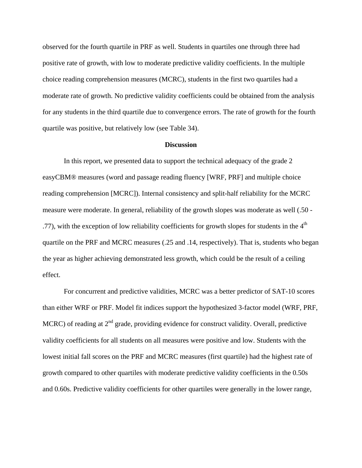observed for the fourth quartile in PRF as well. Students in quartiles one through three had positive rate of growth, with low to moderate predictive validity coefficients. In the multiple choice reading comprehension measures (MCRC), students in the first two quartiles had a moderate rate of growth. No predictive validity coefficients could be obtained from the analysis for any students in the third quartile due to convergence errors. The rate of growth for the fourth quartile was positive, but relatively low (see Table 34).

## **Discussion**

 In this report, we presented data to support the technical adequacy of the grade 2 easyCBM® measures (word and passage reading fluency [WRF, PRF] and multiple choice reading comprehension [MCRC]). Internal consistency and split-half reliability for the MCRC measure were moderate. In general, reliability of the growth slopes was moderate as well (.50 - .77), with the exception of low reliability coefficients for growth slopes for students in the  $4<sup>th</sup>$ quartile on the PRF and MCRC measures (.25 and .14, respectively). That is, students who began the year as higher achieving demonstrated less growth, which could be the result of a ceiling effect.

For concurrent and predictive validities, MCRC was a better predictor of SAT-10 scores than either WRF or PRF. Model fit indices support the hypothesized 3-factor model (WRF, PRF, MCRC) of reading at  $2<sup>nd</sup>$  grade, providing evidence for construct validity. Overall, predictive validity coefficients for all students on all measures were positive and low. Students with the lowest initial fall scores on the PRF and MCRC measures (first quartile) had the highest rate of growth compared to other quartiles with moderate predictive validity coefficients in the 0.50s and 0.60s. Predictive validity coefficients for other quartiles were generally in the lower range,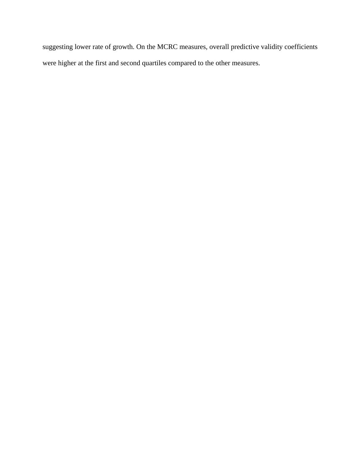suggesting lower rate of growth. On the MCRC measures, overall predictive validity coefficients were higher at the first and second quartiles compared to the other measures.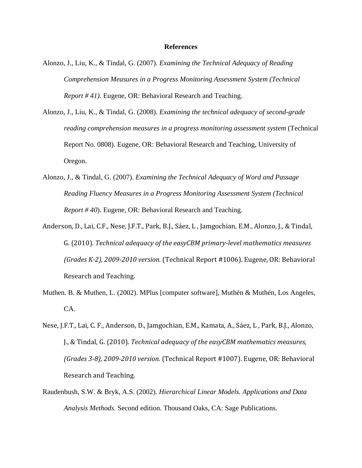## **References**

- Alonzo, J., Liu, K., & Tindal, G. (2007). *Examining the Technical Adequacy of Reading Comprehension Measures in a Progress Monitoring Assessment System (Technical Report # 41).* Eugene, OR: Behavioral Research and Teaching.
- Alonzo, J., Liu, K., & Tindal, G. (2008). *Examining the technical adequacy of second-grade reading comprehension measures in a progress monitoring assessment system* (Technical Report No. 0808). Eugene, OR: Behavioral Research and Teaching, University of Oregon.
- Alonzo, J., & Tindal, G. (2007). *Examining the Technical Adequacy of Word and Passage Reading Fluency Measures in a Progress Monitoring Assessment System (Technical Report # 40*). Eugene, OR: Behavioral Research and Teaching.
- Anderson, D., Lai, C.F., Nese, J.F.T., Park, B.J., Sáez, L , Jamgochian, E.M., Alonzo, J., & Tindal, G. (2010). *Technical adequacy of the easyCBM primarylevel mathematics measures (Grades K2), 20092010 version.* (Technical Report #1006). Eugene, OR: Behavioral Research and Teaching.
- Muthen. B. & Muthen, L. (2002). MPlus [computer software], Muthén & Muthén, Los Angeles, CA.
- Nese, J.F.T., Lai, C. F., Anderson, D., Jamgochian, E.M., Kamata, A., Sáez, L , Park, B.J., Alonzo, J., & Tindal, G. (2010). *Technical adequacy of the easyCBM mathematics measures, (Grades 38), 20092010 version.* (Technical Report #1007). Eugene, OR: Behavioral Research and Teaching.
- Raudenbush, S.W. & Bryk*,* A.S. (2002). *Hierarchical Linear Models. Applications and Data Analysis Methods*. Second edition. Thousand Oaks, CA: Sage Publications.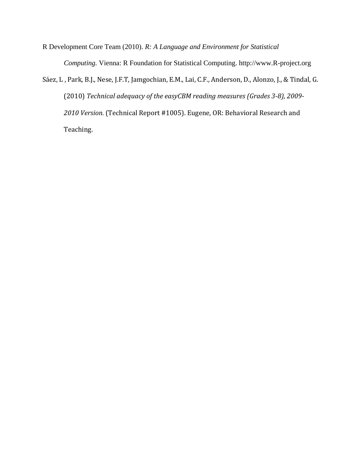R Development Core Team (2010). *R: A Language and Environment for Statistical Computing.* Vienna: R Foundation for Statistical Computing. http://www.R-project.org

Sáez, L , Park, B.J., Nese, J.F.T, Jamgochian, E.M., Lai, C.F., Anderson, D., Alonzo, J., & Tindal, G. (2010) *Technical adequacy of the easyCBM reading measures (Grades 38), 2009 2010 Version.* (Technical Report #1005). Eugene, OR: Behavioral Research and Teaching.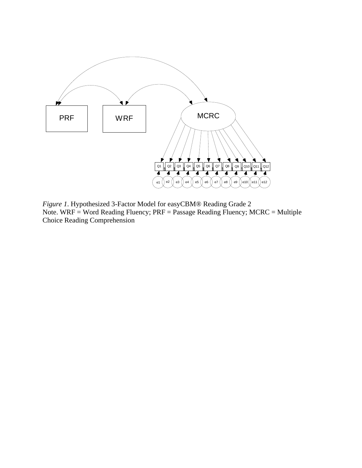

*Figure 1*. Hypothesized 3-Factor Model for easyCBM® Reading Grade 2 Note. WRF = Word Reading Fluency; PRF = Passage Reading Fluency; MCRC = Multiple Choice Reading Comprehension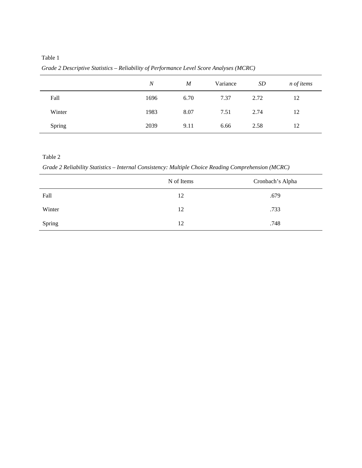*Grade 2 Descriptive Statistics – Reliability of Performance Level Score Analyses (MCRC)* 

|        | $\overline{N}$ | M    | Variance | SD   | <i>n</i> of <i>items</i> |
|--------|----------------|------|----------|------|--------------------------|
| Fall   | 1696           | 6.70 | 7.37     | 2.72 | 12                       |
| Winter | 1983           | 8.07 | 7.51     | 2.74 | 12                       |
| Spring | 2039           | 9.11 | 6.66     | 2.58 | 12                       |

*Grade 2 Reliability Statistics – Internal Consistency: Multiple Choice Reading Comprehension (MCRC)* 

|        | N of Items | Cronbach's Alpha |
|--------|------------|------------------|
| Fall   | 12         | .679             |
| Winter | 12         | .733             |
| Spring | 12         | .748             |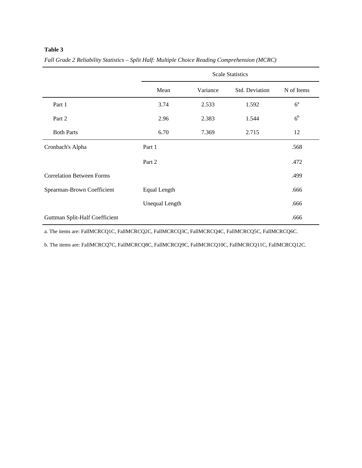|                                  |                       |          | <b>Scale Statistics</b> |                |
|----------------------------------|-----------------------|----------|-------------------------|----------------|
|                                  | Mean                  | Variance | Std. Deviation          | N of Items     |
| Part 1                           | 3.74                  | 2.533    | 1.592                   | $6^{\circ}$    |
| Part 2                           | 2.96                  | 2.383    | 1.544                   | 6 <sup>b</sup> |
| <b>Both Parts</b>                | 6.70                  | 7.369    | 2.715                   | 12             |
| Cronbach's Alpha                 | Part 1                |          |                         | .568           |
|                                  | Part 2                |          |                         | .472           |
| <b>Correlation Between Forms</b> |                       |          |                         | .499           |
| Spearman-Brown Coefficient       | Equal Length          |          |                         | .666           |
|                                  | <b>Unequal Length</b> |          |                         | .666           |
| Guttman Split-Half Coefficient   |                       |          |                         | .666           |

*Fall Grade 2 Reliability Statistics – Split Half: Multiple Choice Reading Comprehension (MCRC)* 

a. The items are: FallMCRCQ1C, FallMCRCQ2C, FallMCRCQ3C, FallMCRCQ4C, FallMCRCQ5C, FallMCRCQ6C.

b. The items are: FallMCRCQ7C, FallMCRCQ8C, FallMCRCQ9C, FallMCRCQ10C, FallMCRCQ11C, FallMCRCQ12C.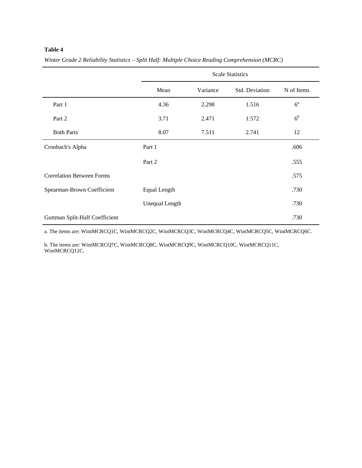|                                  |                       |          | <b>Scale Statistics</b> |                |
|----------------------------------|-----------------------|----------|-------------------------|----------------|
|                                  | Mean                  | Variance | Std. Deviation          | N of Items     |
| Part 1                           | 4.36                  | 2.298    | 1.516                   | $6^{\rm a}$    |
| Part 2                           | 3.71                  | 2.471    | 1.572                   | 6 <sup>b</sup> |
| <b>Both Parts</b>                | 8.07                  | 7.511    | 2.741                   | 12             |
| Cronbach's Alpha                 | Part 1                |          |                         | .606           |
|                                  | Part 2                |          |                         | .555           |
| <b>Correlation Between Forms</b> |                       |          |                         | .575           |
| Spearman-Brown Coefficient       | Equal Length          |          |                         | .730           |
|                                  | <b>Unequal Length</b> |          |                         | .730           |
| Guttman Split-Half Coefficient   |                       |          |                         | .730           |

*Winter Grade 2 Reliability Statistics – Split Half: Multiple Choice Reading Comprehension (MCRC)* 

a. The items are: WintMCRCQ1C, WintMCRCQ2C, WintMCRCQ3C, WintMCRCQ4C, WintMCRCQ5C, WintMCRCQ6C.

b. The items are: WintMCRCQ7C, WintMCRCQ8C, WintMCRCQ9C, WintMCRCQ10C, WintMCRCQ11C, WintMCRCQ12C.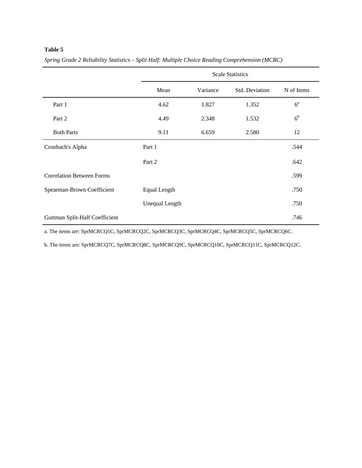|                                  |                       |          | <b>Scale Statistics</b> |                |
|----------------------------------|-----------------------|----------|-------------------------|----------------|
|                                  | Mean                  | Variance | Std. Deviation          | N of Items     |
| Part 1                           | 4.62                  | 1.827    | 1.352                   | $6^{\rm a}$    |
| Part 2                           | 4.49                  | 2.348    | 1.532                   | 6 <sup>b</sup> |
| <b>Both Parts</b>                | 9.11                  | 6.659    | 2.580                   | 12             |
| Cronbach's Alpha                 | Part 1                |          |                         | .544           |
|                                  | Part 2                |          |                         | .642           |
| <b>Correlation Between Forms</b> |                       |          |                         | .599           |
| Spearman-Brown Coefficient       | <b>Equal Length</b>   |          |                         | .750           |
|                                  | <b>Unequal Length</b> |          |                         | .750           |
| Guttman Split-Half Coefficient   |                       |          |                         | .746           |

*Spring Grade 2 Reliability Statistics – Split Half: Multiple Choice Reading Comprehension (MCRC)* 

a. The items are: SprMCRCQ1C, SprMCRCQ2C, SprMCRCQ3C, SprMCRCQ4C, SprMCRCQ5C, SprMCRCQ6C.

b. The items are: SprMCRCQ7C, SprMCRCQ8C, SprMCRCQ9C, SprMCRCQ10C, SprMCRCQ11C, SprMCRCQ12C.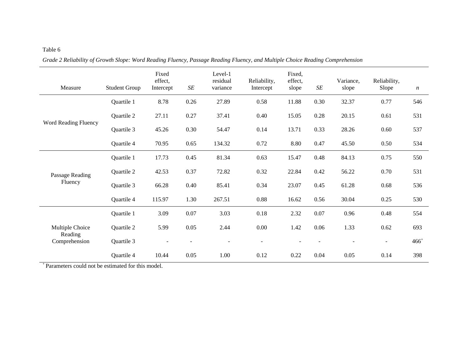| Measure                                     | <b>Student Group</b> | Fixed<br>effect,<br>Intercept | $\cal SE$ | Level-1<br>residual<br>variance | Reliability,<br>Intercept | Fixed,<br>effect,<br>slope | $\cal SE$ | Variance,<br>slope | Reliability,<br>Slope | $\,n$     |
|---------------------------------------------|----------------------|-------------------------------|-----------|---------------------------------|---------------------------|----------------------------|-----------|--------------------|-----------------------|-----------|
|                                             | Quartile 1           | 8.78                          | 0.26      | 27.89                           | 0.58                      | 11.88                      | 0.30      | 32.37              | 0.77                  | 546       |
|                                             | Quartile 2           | 27.11                         | 0.27      | 37.41                           | 0.40                      | 15.05                      | 0.28      | 20.15              | 0.61                  | 531       |
| Word Reading Fluency                        | Quartile 3           | 45.26                         | 0.30      | 54.47                           | 0.14                      | 13.71                      | 0.33      | 28.26              | 0.60                  | 537       |
|                                             | Quartile 4           | 70.95                         | 0.65      | 134.32                          | 0.72                      | 8.80                       | 0.47      | 45.50              | 0.50                  | 534       |
|                                             | Quartile 1           | 17.73                         | 0.45      | 81.34                           | 0.63                      | 15.47                      | 0.48      | 84.13              | 0.75                  | 550       |
| Passage Reading                             | Quartile 2           | 42.53                         | 0.37      | 72.82                           | 0.32                      | 22.84                      | 0.42      | 56.22              | 0.70                  | 531       |
| Fluency                                     | Quartile 3           | 66.28                         | 0.40      | 85.41                           | 0.34                      | 23.07                      | 0.45      | 61.28              | 0.68                  | 536       |
|                                             | Quartile 4           | 115.97                        | 1.30      | 267.51                          | 0.88                      | 16.62                      | 0.56      | 30.04              | 0.25                  | 530       |
|                                             | Quartile 1           | 3.09                          | 0.07      | 3.03                            | 0.18                      | 2.32                       | $0.07\,$  | 0.96               | 0.48                  | 554       |
| Multiple Choice<br>Reading<br>Comprehension | Quartile 2           | 5.99                          | 0.05      | 2.44                            | $0.00\,$                  | 1.42                       | 0.06      | 1.33               | 0.62                  | 693       |
|                                             | Quartile 3           |                               |           | $\blacksquare$                  | $\blacksquare$            |                            |           |                    | $\blacksquare$        | $466^{+}$ |
|                                             | Quartile 4           | 10.44                         | 0.05      | 1.00                            | 0.12                      | 0.22                       | 0.04      | 0.05               | 0.14                  | 398       |

*Grade 2 Reliability of Growth Slope: Word Reading Fluency, Passage Reading Fluency, and Multiple Choice Reading Comprehension*

+ Parameters could not be estimated for this model.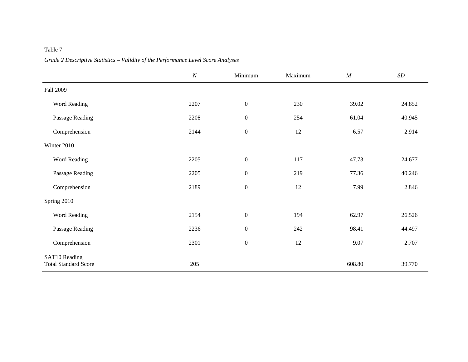|                                              | $\cal N$ | Minimum          | Maximum | M      | $\boldsymbol{SD}$ |
|----------------------------------------------|----------|------------------|---------|--------|-------------------|
| <b>Fall 2009</b>                             |          |                  |         |        |                   |
| Word Reading                                 | 2207     | $\boldsymbol{0}$ | 230     | 39.02  | 24.852            |
| Passage Reading                              | 2208     | $\boldsymbol{0}$ | 254     | 61.04  | 40.945            |
| Comprehension                                | 2144     | $\boldsymbol{0}$ | 12      | 6.57   | 2.914             |
| Winter 2010                                  |          |                  |         |        |                   |
| Word Reading                                 | 2205     | $\boldsymbol{0}$ | 117     | 47.73  | 24.677            |
| Passage Reading                              | 2205     | $\boldsymbol{0}$ | 219     | 77.36  | 40.246            |
| Comprehension                                | 2189     | $\boldsymbol{0}$ | 12      | 7.99   | 2.846             |
| Spring 2010                                  |          |                  |         |        |                   |
| Word Reading                                 | 2154     | $\boldsymbol{0}$ | 194     | 62.97  | 26.526            |
| Passage Reading                              | 2236     | $\boldsymbol{0}$ | 242     | 98.41  | 44.497            |
| Comprehension                                | 2301     | $\boldsymbol{0}$ | $12\,$  | 9.07   | 2.707             |
| SAT10 Reading<br><b>Total Standard Score</b> | 205      |                  |         | 608.80 | 39.770            |

*Grade 2 Descriptive Statistics – Validity of the Performance Level Score Analyses*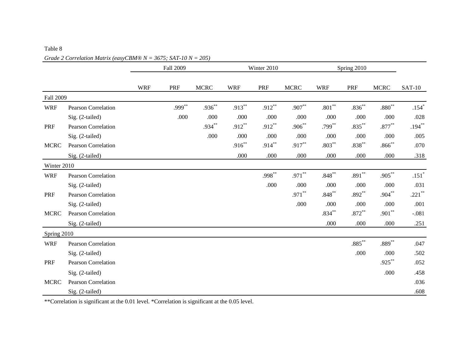# *Grade 2 Correlation Matrix (easyCBM® N = 3675; SAT-10 N = 205)*

|                  |                            |            | Fall 2009 |             | Winter 2010<br>Spring 2010 |           |             |            |           |             |               |
|------------------|----------------------------|------------|-----------|-------------|----------------------------|-----------|-------------|------------|-----------|-------------|---------------|
|                  |                            | <b>WRF</b> | PRF       | <b>MCRC</b> | <b>WRF</b>                 | PRF       | <b>MCRC</b> | <b>WRF</b> | PRF       | <b>MCRC</b> | <b>SAT-10</b> |
| <b>Fall 2009</b> |                            |            |           |             |                            |           |             |            |           |             |               |
| <b>WRF</b>       | Pearson Correlation        |            | .999**    | .936**      | $.913***$                  | $.912***$ | $.907**$    | $.801***$  | $.836***$ | $.880**$    | $.154*$       |
|                  | Sig. (2-tailed)            |            | .000      | .000        | .000                       | .000      | .000        | .000       | .000      | .000        | .028          |
| PRF              | <b>Pearson Correlation</b> |            |           | .934**      | $.912***$                  | $.912***$ | $.906***$   | $.799***$  | $.835***$ | $.877**$    | $.194***$     |
|                  | Sig. (2-tailed)            |            |           | .000        | .000                       | .000      | .000        | .000       | .000      | .000        | .005          |
| <b>MCRC</b>      | <b>Pearson Correlation</b> |            |           |             | $.916***$                  | $.914***$ | $.917***$   | $.803***$  | $.838***$ | $.866^{**}$ | .070          |
|                  | Sig. (2-tailed)            |            |           |             | .000                       | .000      | .000        | .000       | .000      | .000        | .318          |
| Winter 2010      |                            |            |           |             |                            |           |             |            |           |             |               |
| <b>WRF</b>       | Pearson Correlation        |            |           |             |                            | $.998***$ | $.971***$   | $.848***$  | $.891***$ | $.905***$   | $.151*$       |
|                  | Sig. (2-tailed)            |            |           |             |                            | .000      | .000        | .000       | .000      | .000        | .031          |
| PRF              | <b>Pearson Correlation</b> |            |           |             |                            |           | $.971***$   | $.848***$  | $.892***$ | $.904***$   | $.221$ **     |
|                  | Sig. (2-tailed)            |            |           |             |                            |           | .000        | .000       | .000      | .000        | .001          |
| <b>MCRC</b>      | <b>Pearson Correlation</b> |            |           |             |                            |           |             | $.834***$  | $.872***$ | $.901***$   | $-.081$       |
|                  | Sig. (2-tailed)            |            |           |             |                            |           |             | .000       | .000      | .000        | .251          |
| Spring 2010      |                            |            |           |             |                            |           |             |            |           |             |               |
| <b>WRF</b>       | Pearson Correlation        |            |           |             |                            |           |             |            | $.885***$ | $.889***$   | .047          |
|                  | Sig. (2-tailed)            |            |           |             |                            |           |             |            | .000      | .000        | .502          |
| PRF              | Pearson Correlation        |            |           |             |                            |           |             |            |           | $.925***$   | .052          |
|                  | Sig. (2-tailed)            |            |           |             |                            |           |             |            |           | .000        | .458          |
| <b>MCRC</b>      | Pearson Correlation        |            |           |             |                            |           |             |            |           |             | .036          |
|                  | Sig. (2-tailed)            |            |           |             |                            |           |             |            |           |             | .608          |

\*\*Correlation is significant at the 0.01 level. \*Correlation is significant at the 0.05 level.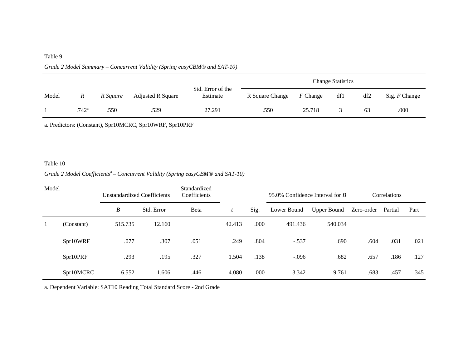|       |                |          |                          |                               | <b>Change Statistics</b> |            |     |     |               |
|-------|----------------|----------|--------------------------|-------------------------------|--------------------------|------------|-----|-----|---------------|
| Model | R              | R Square | <b>Adjusted R Square</b> | Std. Error of the<br>Estimate | R Square Change          | $F$ Change | df1 | df2 | Sig. F Change |
|       | $.742^{\rm a}$ | .550     | .529                     | 27.291                        | .550                     | 25.718     |     | 63  | .000          |

## *Grade 2 Model Summary – Concurrent Validity (Spring easyCBM® and SAT-10)*

a. Predictors: (Constant), Spr10MCRC, Spr10WRF, Spr10PRF

#### Table 10

## *Grade 2 Model Coefficients<sup>a</sup> – Concurrent Validity (Spring easyCBM® and SAT-10)*

| Model |            | <b>Unstandardized Coefficients</b> |            | Standardized<br>Coefficients |        |      | 95.0% Confidence Interval for $B$ |                    | Correlations |         |      |
|-------|------------|------------------------------------|------------|------------------------------|--------|------|-----------------------------------|--------------------|--------------|---------|------|
|       |            | B                                  | Std. Error | Beta                         |        | Sig. | Lower Bound                       | <b>Upper Bound</b> | Zero-order   | Partial | Part |
|       | (Constant) | 515.735                            | 12.160     |                              | 42.413 | .000 | 491.436                           | 540.034            |              |         |      |
|       | Spr10WRF   | .077                               | .307       | .051                         | .249   | .804 | $-.537$                           | .690               | .604         | .031    | .021 |
|       | Spr10PRF   | .293                               | .195       | .327                         | 1.504  | .138 | $-.096$                           | .682               | .657         | .186    | .127 |
|       | Spr10MCRC  | 6.552                              | 1.606      | .446                         | 4.080  | .000 | 3.342                             | 9.761              | .683         | .457    | .345 |

a. Dependent Variable: SAT10 Reading Total Standard Score - 2nd Grade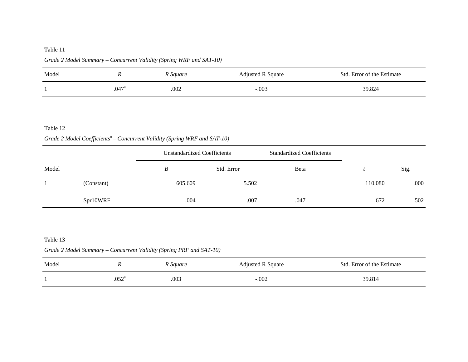| Model |                     | R Square | <b>Adjusted R Square</b> | Std. Error of the Estimate |
|-------|---------------------|----------|--------------------------|----------------------------|
|       | $.047$ <sup>a</sup> | .002     | $-.003$                  | 39.824                     |

*Grade 2 Model Summary – Concurrent Validity (Spring WRF and SAT-10)* 

#### Table 12

## Grade 2 Model Coefficients<sup>a</sup> – Concurrent Validity (Spring WRF and SAT-10)

|       |            |         | <b>Unstandardized Coefficients</b> |      | <b>Standardized Coefficients</b> |      |
|-------|------------|---------|------------------------------------|------|----------------------------------|------|
| Model |            | B       | Std. Error                         | Beta |                                  | Sig. |
|       | (Constant) | 605.609 | 5.502                              |      | 110.080                          | .000 |
|       | Spr10WRF   | .004    | .007                               | .047 | .672                             | .502 |

#### Table 13

## *Grade 2 Model Summary – Concurrent Validity (Spring PRF and SAT-10)*

| Model |                | R Square | Adjusted R Square | Std. Error of the Estimate |
|-------|----------------|----------|-------------------|----------------------------|
|       | $.052^{\rm a}$ | .003     | $-.002$           | 39.814                     |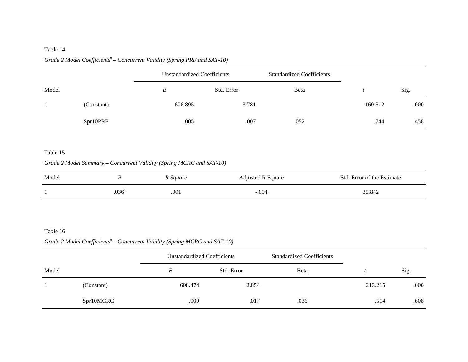# Grade 2 Model Coefficients<sup>a</sup> – Concurrent Validity (Spring PRF and SAT-10)

|       |            | Unstandardized Coefficients |            | <b>Standardized Coefficients</b> |         |      |
|-------|------------|-----------------------------|------------|----------------------------------|---------|------|
| Model |            | B                           | Std. Error | Beta                             |         | Sig. |
|       | (Constant) | 606.895                     | 3.781      |                                  | 160.512 | .000 |
|       | Spr10PRF   | .005                        | .007       | .052                             | .744    | .458 |

#### Table 15

## *Grade 2 Model Summary – Concurrent Validity (Spring MCRC and SAT-10)*

| Model |               | R Square | <b>Adjusted R Square</b> | Std. Error of the Estimate |
|-------|---------------|----------|--------------------------|----------------------------|
|       | $036^{\circ}$ | .001     | $-.004$                  | 39.842                     |

#### Table 16

## Grade 2 Model Coefficients<sup>a</sup> – Concurrent Validity (Spring MCRC and SAT-10)

|       |            | Unstandardized Coefficients |            | <b>Standardized Coefficients</b> |         |      |
|-------|------------|-----------------------------|------------|----------------------------------|---------|------|
| Model |            | B                           | Std. Error | Beta                             |         | Sig. |
|       | (Constant) | 608.474                     | 2.854      |                                  | 213.215 | .000 |
|       | Spr10MCRC  | .009                        | .017       | .036                             | .514    | .608 |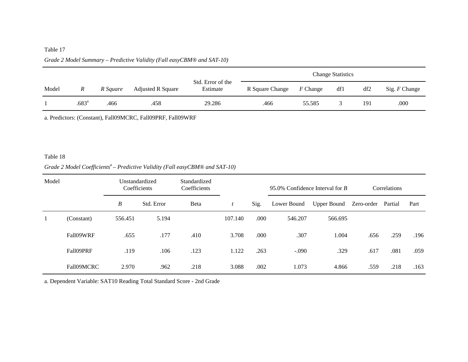## *Grade 2 Model Summary – Predictive Validity (Fall easyCBM® and SAT-10)*

|       |                |          |                          | <b>Change Statistics</b>      |                 |            |     |                 |               |
|-------|----------------|----------|--------------------------|-------------------------------|-----------------|------------|-----|-----------------|---------------|
| Model | $\mathbb{R}$   | R Square | <b>Adjusted R Square</b> | Std. Error of the<br>Estimate | R Square Change | $F$ Change | df1 | df <sub>2</sub> | Sig. F Change |
|       | $.683^{\rm a}$ | .466     | .458                     | 29.286                        | .466            | 55.585     |     | 191             | .000          |

a. Predictors: (Constant), Fall09MCRC, Fall09PRF, Fall09WRF

#### Table 18

## Grade 2 Model Coefficients<sup>a</sup> – Predictive Validity (Fall easyCBM® and SAT-10)

| Model |            | Unstandardized<br>Coefficients |            | Standardized<br>Coefficients |         | 95.0% Confidence Interval for $B$ |             |                    | Correlations |         |      |
|-------|------------|--------------------------------|------------|------------------------------|---------|-----------------------------------|-------------|--------------------|--------------|---------|------|
|       |            | B                              | Std. Error | Beta                         | ı       | Sig.                              | Lower Bound | <b>Upper Bound</b> | Zero-order   | Partial | Part |
| 1     | (Constant) | 556.451                        | 5.194      |                              | 107.140 | .000                              | 546.207     | 566.695            |              |         |      |
|       | Fall09WRF  | .655                           | .177       | .410                         | 3.708   | .000                              | .307        | 1.004              | .656         | .259    | .196 |
|       | Fall09PRF  | .119                           | .106       | .123                         | 1.122   | .263                              | $-.090$     | .329               | .617         | .081    | .059 |
|       | Fall09MCRC | 2.970                          | .962       | .218                         | 3.088   | .002                              | 1.073       | 4.866              | .559         | .218    | .163 |

a. Dependent Variable: SAT10 Reading Total Standard Score - 2nd Grade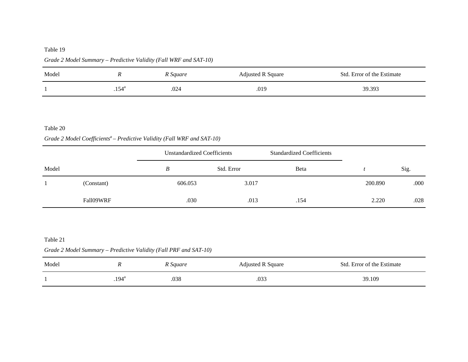| Model |                | R Square | <b>Adjusted R Square</b> | Std. Error of the Estimate |
|-------|----------------|----------|--------------------------|----------------------------|
|       | $.154^{\circ}$ | .024     | .019                     | 39.393                     |

## *Grade 2 Model Summary – Predictive Validity (Fall WRF and SAT-10)*

#### Table 20

## Grade 2 Model Coefficients<sup>a</sup> – Predictive Validity (Fall WRF and SAT-10)

|       | Unstandardized Coefficients |         |            | <b>Standardized Coefficients</b> |         |      |
|-------|-----------------------------|---------|------------|----------------------------------|---------|------|
| Model |                             | B       | Std. Error | Beta                             |         | Sig. |
|       | (Constant)                  | 606.053 | 3.017      |                                  | 200.890 | .000 |
|       | Fall09WRF                   | .030    | .013       | .154                             | 2.220   | .028 |

#### Table 21

## *Grade 2 Model Summary – Predictive Validity (Fall PRF and SAT-10)*

| Model |                | R Square | Adjusted R Square | Std. Error of the Estimate |
|-------|----------------|----------|-------------------|----------------------------|
|       | $.194^{\rm a}$ | .038     | .033              | 39.109                     |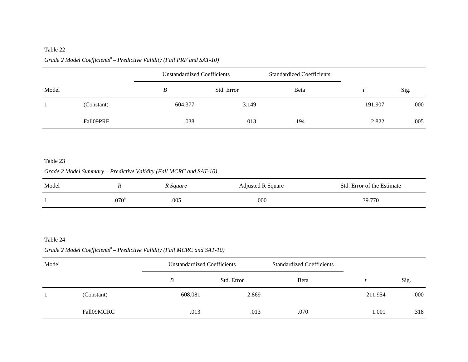# Grade 2 Model Coefficients<sup>a</sup> – Predictive Validity (Fall PRF and SAT-10)

|       |            | <b>Unstandardized Coefficients</b> |            | <b>Standardized Coefficients</b> |         |      |
|-------|------------|------------------------------------|------------|----------------------------------|---------|------|
| Model |            | B                                  | Std. Error | Beta                             |         | Sig. |
|       | (Constant) | 604.377                            | 3.149      |                                  | 191.907 | .000 |
|       | Fall09PRF  | .038                               | .013       | .194                             | 2.822   | .005 |

### Table 23

## *Grade 2 Model Summary – Predictive Validity (Fall MCRC and SAT-10)*

| Model |                   | R Square | Adjusted R Square | Std. Error of the Estimate |
|-------|-------------------|----------|-------------------|----------------------------|
|       | .070 <sup>a</sup> | .005     | .000              | 39.770                     |

#### Table 24

## Grade 2 Model Coefficients<sup>a</sup> – Predictive Validity (Fall MCRC and SAT-10)

| Model |            | Unstandardized Coefficients |            | <b>Standardized Coefficients</b> |         |      |
|-------|------------|-----------------------------|------------|----------------------------------|---------|------|
|       |            | B                           | Std. Error | Beta                             |         | Sig. |
|       | (Constant) | 608.081                     | 2.869      |                                  | 211.954 | .000 |
|       | Fall09MCRC | .013                        | .013       | .070                             | .001    | .318 |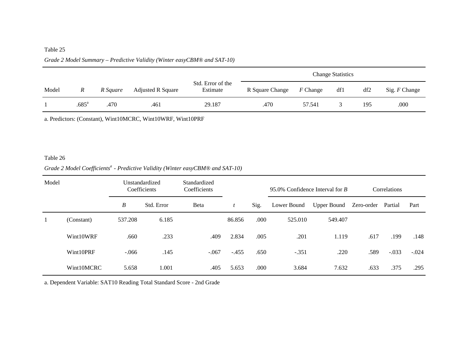## *Grade 2 Model Summary – Predictive Validity (Winter easyCBM® and SAT-10)*

|       |                     |          |                          |                               | <b>Change Statistics</b> |            |     |     |               |  |
|-------|---------------------|----------|--------------------------|-------------------------------|--------------------------|------------|-----|-----|---------------|--|
| Model | $\boldsymbol{R}$    | R Square | <b>Adjusted R Square</b> | Std. Error of the<br>Estimate | R Square Change          | $F$ Change | df1 | df2 | Sig. F Change |  |
|       | $.685^{\mathrm{a}}$ | .470     | .461                     | 29.187                        | .470                     | 57.541     |     | 195 | .000          |  |

a. Predictors: (Constant), Wint10MCRC, Wint10WRF, Wint10PRF

#### Table 26

## Grade 2 Model Coefficients<sup>a</sup> - Predictive Validity (Winter easyCBM® and SAT-10)

| Model        |            | Unstandardized<br>Coefficients |            | Standardized<br>Coefficients |         |      | 95.0% Confidence Interval for B |                    | Correlations |         |         |
|--------------|------------|--------------------------------|------------|------------------------------|---------|------|---------------------------------|--------------------|--------------|---------|---------|
|              |            | B                              | Std. Error | Beta                         | t       | Sig. | Lower Bound                     | <b>Upper Bound</b> | Zero-order   | Partial | Part    |
| $\mathbf{1}$ | (Constant) | 537.208                        | 6.185      |                              | 86.856  | .000 | 525.010                         | 549.407            |              |         |         |
|              | Wint10WRF  | .660                           | .233       | .409                         | 2.834   | .005 | .201                            | 1.119              | .617         | .199    | .148    |
|              | Wint10PRF  | $-.066$                        | .145       | $-.067$                      | $-.455$ | .650 | $-.351$                         | .220               | .589         | $-.033$ | $-.024$ |
|              | Wint10MCRC | 5.658                          | 1.001      | .405                         | 5.653   | .000 | 3.684                           | 7.632              | .633         | .375    | .295    |

a. Dependent Variable: SAT10 Reading Total Standard Score - 2nd Grade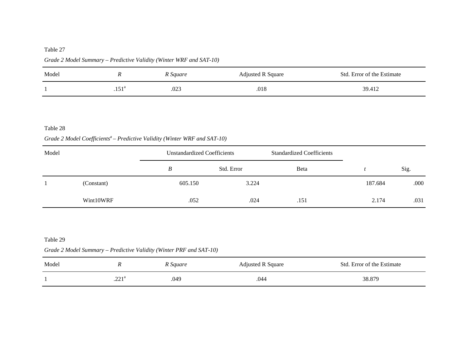| Model |                   | R Square | Adjusted R Square | Std. Error of the Estimate |
|-------|-------------------|----------|-------------------|----------------------------|
|       | .151 <sup>a</sup> | .023     | .018              | 39.412                     |

*Grade 2 Model Summary – Predictive Validity (Winter WRF and SAT-10)* 

#### Table 28

Grade 2 Model Coefficients<sup>a</sup> – Predictive Validity (Winter WRF and SAT-10)

| Model |            |         | Unstandardized Coefficients | <b>Standardized Coefficients</b> |         |      |
|-------|------------|---------|-----------------------------|----------------------------------|---------|------|
|       |            | B       | Std. Error                  | Beta                             |         | Sig. |
|       | (Constant) | 605.150 | 3.224                       |                                  | 187.684 | .000 |
|       | Wint10WRF  | .052    | .024                        | .151                             | 2.174   | .031 |

*Grade 2 Model Summary – Predictive Validity (Winter PRF and SAT-10)* 

| Model |              | R Square | Adjusted R Square | Std. Error of the Estimate |
|-------|--------------|----------|-------------------|----------------------------|
|       | 221a<br>$-1$ | .049     | .044              | 38.879                     |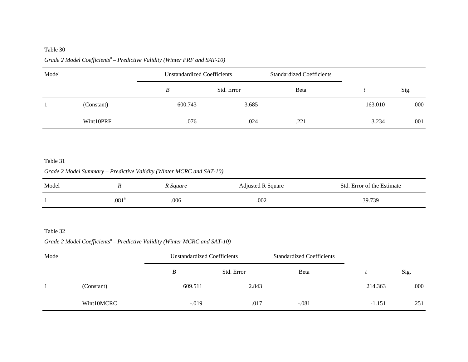## Grade 2 Model Coefficients<sup>a</sup> – Predictive Validity (Winter PRF and SAT-10)

| Model |            | Unstandardized Coefficients |            | <b>Standardized Coefficients</b> |         |      |
|-------|------------|-----------------------------|------------|----------------------------------|---------|------|
|       |            | B                           | Std. Error | Beta                             |         | Sig. |
|       | (Constant) | 600.743                     | 3.685      |                                  | 163.010 | .000 |
|       | Wint10PRF  | .076                        | .024       | .221                             | 3.234   | .001 |

#### Table 31

## *Grade 2 Model Summary – Predictive Validity (Winter MCRC and SAT-10)*

| Model |                   | R Square | <b>Adjusted R Square</b> | Std. Error of the Estimate |
|-------|-------------------|----------|--------------------------|----------------------------|
|       | .081 <sup>a</sup> | .006     | .002                     | 39.739                     |

#### Table 32

## Grade 2 Model Coefficients<sup>a</sup> – Predictive Validity (Winter MCRC and SAT-10)

| Model |            | Unstandardized Coefficients |            | <b>Standardized Coefficients</b> |          |      |
|-------|------------|-----------------------------|------------|----------------------------------|----------|------|
|       |            | B                           | Std. Error | Beta                             |          | Sig. |
|       | (Constant) | 609.511                     | 2.843      |                                  | 214.363  | .000 |
|       | Wint10MCRC | $-.019$                     | .017       | $-.081$                          | $-1.151$ | .251 |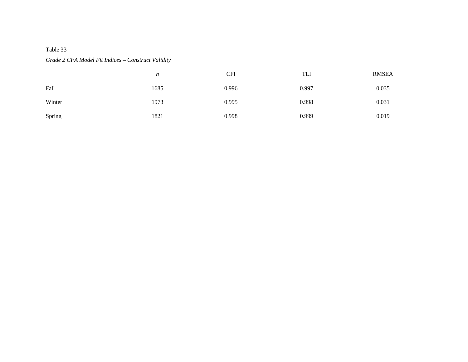## *Grade 2 CFA Model Fit Indices – Construct Validity*

|        | n    | <b>CFI</b> | TLI   | <b>RMSEA</b> |
|--------|------|------------|-------|--------------|
| Fall   | 1685 | 0.996      | 0.997 | 0.035        |
| Winter | 1973 | 0.995      | 0.998 | 0.031        |
| Spring | 1821 | 0.998      | 0.999 | 0.019        |